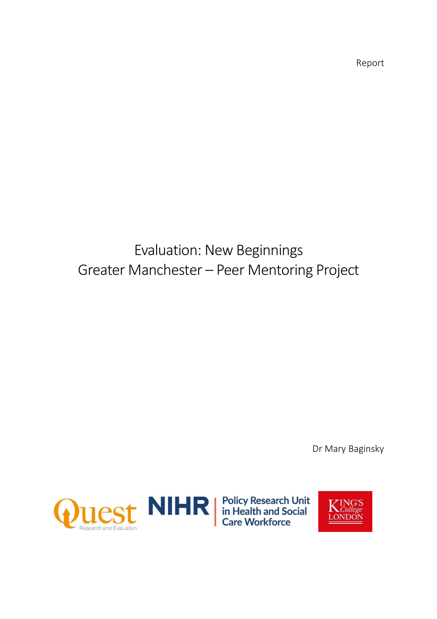Report

# Evaluation: New Beginnings Greater Manchester – Peer Mentoring Project

Dr Mary Baginsky



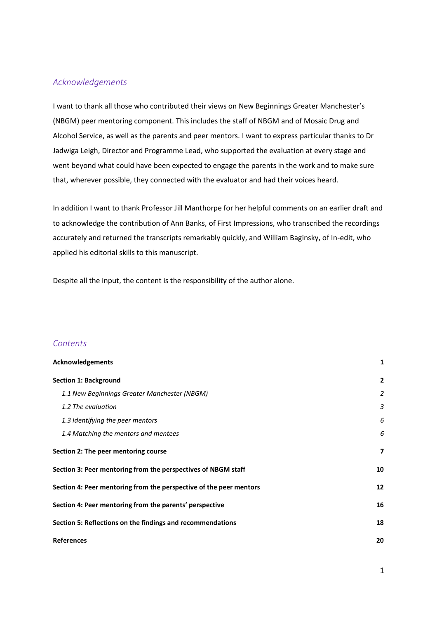#### <span id="page-1-0"></span>*Acknowledgements*

I want to thank all those who contributed their views on New Beginnings Greater Manchester's (NBGM) peer mentoring component. This includes the staff of NBGM and of Mosaic Drug and Alcohol Service, as well as the parents and peer mentors. I want to express particular thanks to Dr Jadwiga Leigh, Director and Programme Lead, who supported the evaluation at every stage and went beyond what could have been expected to engage the parents in the work and to make sure that, wherever possible, they connected with the evaluator and had their voices heard.

In addition I want to thank Professor Jill Manthorpe for her helpful comments on an earlier draft and to acknowledge the contribution of Ann Banks, of First Impressions, who transcribed the recordings accurately and returned the transcripts remarkably quickly, and William Baginsky, of In-edit, who applied his editorial skills to this manuscript.

Despite all the input, the content is the responsibility of the author alone.

#### *Contents*

| Acknowledgements                                                   | 1              |
|--------------------------------------------------------------------|----------------|
| <b>Section 1: Background</b>                                       | $\mathbf{2}$   |
| 1.1 New Beginnings Greater Manchester (NBGM)                       | $\overline{2}$ |
| 1.2 The evaluation                                                 | 3              |
| 1.3 Identifying the peer mentors                                   | 6              |
| 1.4 Matching the mentors and mentees                               | 6              |
| Section 2: The peer mentoring course                               | 7              |
| Section 3: Peer mentoring from the perspectives of NBGM staff      | 10             |
| Section 4: Peer mentoring from the perspective of the peer mentors | 12             |
| Section 4: Peer mentoring from the parents' perspective            | 16             |
| Section 5: Reflections on the findings and recommendations         | 18             |
| <b>References</b>                                                  | 20             |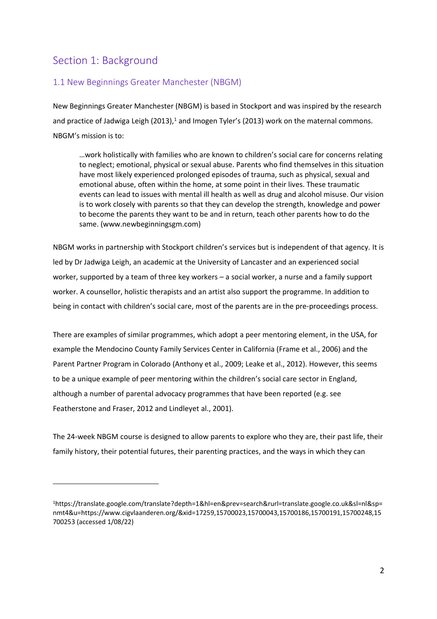# <span id="page-2-0"></span>Section 1: Background

## <span id="page-2-1"></span>1.1 New Beginnings Greater Manchester (NBGM)

New Beginnings Greater Manchester (NBGM) is based in Stockport and was inspired by the research and practice of Jadwiga Leigh (2013),<sup>1</sup> and Imogen Tyler's (2013) work on the maternal commons. NBGM's mission is to:

…work holistically with families who are known to children's social care for concerns relating to neglect; emotional, physical or sexual abuse. Parents who find themselves in this situation have most likely experienced prolonged episodes of trauma, such as physical, sexual and emotional abuse, often within the home, at some point in their lives. These traumatic events can lead to issues with mental ill health as well as drug and alcohol misuse. Our vision is to work closely with parents so that they can develop the strength, knowledge and power to become the parents they want to be and in return, teach other parents how to do the same. [\(www.newbeginningsgm.com\)](http://www.newbeginningsgm.com/)

NBGM works in partnership with Stockport children's services but is independent of that agency. It is led by Dr Jadwiga Leigh, an academic at the University of Lancaster and an experienced social worker, supported by a team of three key workers – a social worker, a nurse and a family support worker. A counsellor, holistic therapists and an artist also support the programme. In addition to being in contact with children's social care, most of the parents are in the pre-proceedings process.

There are examples of similar programmes, which adopt a peer mentoring element, in the USA, for example the Mendocino County Family Services Center in California (Frame et al., 2006) and the Parent Partner Program in Colorado (Anthony et al., 2009; Leake et al., 2012). However, this seems to be a unique example of peer mentoring within the children's social care sector in England, although a number of parental advocacy programmes that have been reported (e.g. see Featherstone and Fraser, 2012 and Lindleyet al., 2001).

The 24-week NBGM course is designed to allow parents to explore who they are, their past life, their family history, their potential futures, their parenting practices, and the ways in which they can

<sup>1</sup>[https://translate.google.com/translate?depth=1&hl=en&prev=search&rurl=translate.google.co.uk&sl=nl&sp=](https://translate.google.com/translate?depth=1&hl=en&prev=search&rurl=translate.google.co.uk&sl=nl&sp=nmt4&u=https://www.cigvlaanderen.org/&xid=17259,15700023,15700043,15700186,15700191,15700248,15700253) [nmt4&u=https://www.cigvlaanderen.org/&xid=17259,15700023,15700043,15700186,15700191,15700248,15](https://translate.google.com/translate?depth=1&hl=en&prev=search&rurl=translate.google.co.uk&sl=nl&sp=nmt4&u=https://www.cigvlaanderen.org/&xid=17259,15700023,15700043,15700186,15700191,15700248,15700253) [700253](https://translate.google.com/translate?depth=1&hl=en&prev=search&rurl=translate.google.co.uk&sl=nl&sp=nmt4&u=https://www.cigvlaanderen.org/&xid=17259,15700023,15700043,15700186,15700191,15700248,15700253) (accessed 1/08/22)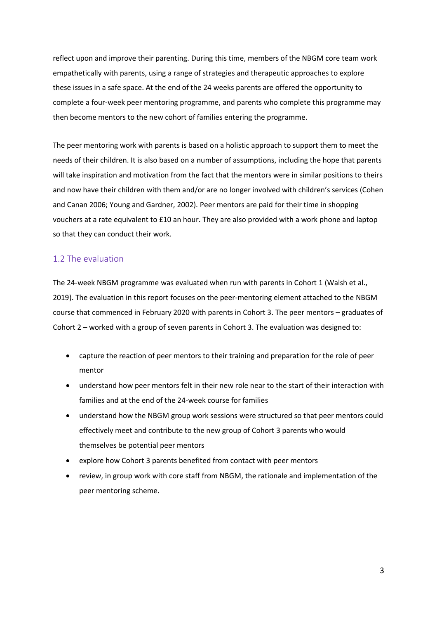reflect upon and improve their parenting. During this time, members of the NBGM core team work empathetically with parents, using a range of strategies and therapeutic approaches to explore these issues in a safe space. At the end of the 24 weeks parents are offered the opportunity to complete a four-week peer mentoring programme, and parents who complete this programme may then become mentors to the new cohort of families entering the programme.

The peer mentoring work with parents is based on a holistic approach to support them to meet the needs of their children. It is also based on a number of assumptions, including the hope that parents will take inspiration and motivation from the fact that the mentors were in similar positions to theirs and now have their children with them and/or are no longer involved with children's services (Cohen and Canan 2006; Young and Gardner, 2002). Peer mentors are paid for their time in shopping vouchers at a rate equivalent to £10 an hour. They are also provided with a work phone and laptop so that they can conduct their work.

#### <span id="page-3-0"></span>1.2 The evaluation

The 24-week NBGM programme was evaluated when run with parents in Cohort 1 (Walsh et al., 2019). The evaluation in this report focuses on the peer-mentoring element attached to the NBGM course that commenced in February 2020 with parents in Cohort 3. The peer mentors – graduates of Cohort 2 – worked with a group of seven parents in Cohort 3. The evaluation was designed to:

- capture the reaction of peer mentors to their training and preparation for the role of peer mentor
- understand how peer mentors felt in their new role near to the start of their interaction with families and at the end of the 24-week course for families
- understand how the NBGM group work sessions were structured so that peer mentors could effectively meet and contribute to the new group of Cohort 3 parents who would themselves be potential peer mentors
- explore how Cohort 3 parents benefited from contact with peer mentors
- review, in group work with core staff from NBGM, the rationale and implementation of the peer mentoring scheme.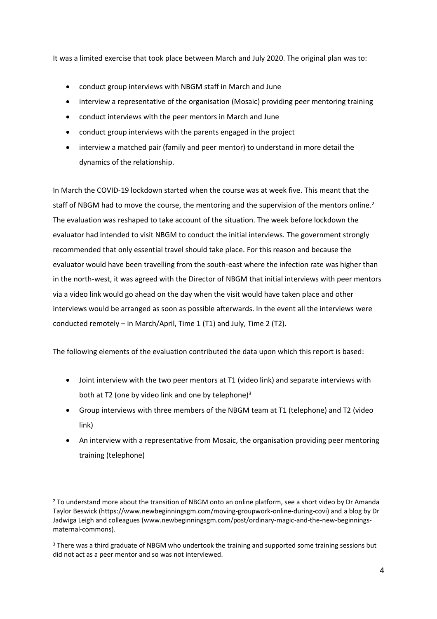It was a limited exercise that took place between March and July 2020. The original plan was to:

- conduct group interviews with NBGM staff in March and June
- interview a representative of the organisation (Mosaic) providing peer mentoring training
- conduct interviews with the peer mentors in March and June
- conduct group interviews with the parents engaged in the project
- interview a matched pair (family and peer mentor) to understand in more detail the dynamics of the relationship.

In March the COVID-19 lockdown started when the course was at week five. This meant that the staff of NBGM had to move the course, the mentoring and the supervision of the mentors online.<sup>2</sup> The evaluation was reshaped to take account of the situation. The week before lockdown the evaluator had intended to visit NBGM to conduct the initial interviews. The government strongly recommended that only essential travel should take place. For this reason and because the evaluator would have been travelling from the south-east where the infection rate was higher than in the north-west, it was agreed with the Director of NBGM that initial interviews with peer mentors via a video link would go ahead on the day when the visit would have taken place and other interviews would be arranged as soon as possible afterwards. In the event all the interviews were conducted remotely – in March/April, Time 1 (T1) and July, Time 2 (T2).

The following elements of the evaluation contributed the data upon which this report is based:

- Joint interview with the two peer mentors at T1 (video link) and separate interviews with both at T2 (one by video link and one by telephone) $3$
- Group interviews with three members of the NBGM team at T1 (telephone) and T2 (video link)
- An interview with a representative from Mosaic, the organisation providing peer mentoring training (telephone)

<sup>&</sup>lt;sup>2</sup> To understand more about the transition of NBGM onto an online platform, see a short video by Dr Amanda Taylor Beswick (https://www.newbeginningsgm.com/moving-groupwork-online-during-covi) and a blog by Dr Jadwiga Leigh and colleagues [\(www.newbeginningsgm.com/post/ordinary-magic-and-the-new-beginnings](https://www.newbeginningsgm.com/post/ordinary-magic-and-the-new-beginnings-maternal-commons)[maternal-commons\)](https://www.newbeginningsgm.com/post/ordinary-magic-and-the-new-beginnings-maternal-commons).

<sup>&</sup>lt;sup>3</sup> There was a third graduate of NBGM who undertook the training and supported some training sessions but did not act as a peer mentor and so was not interviewed.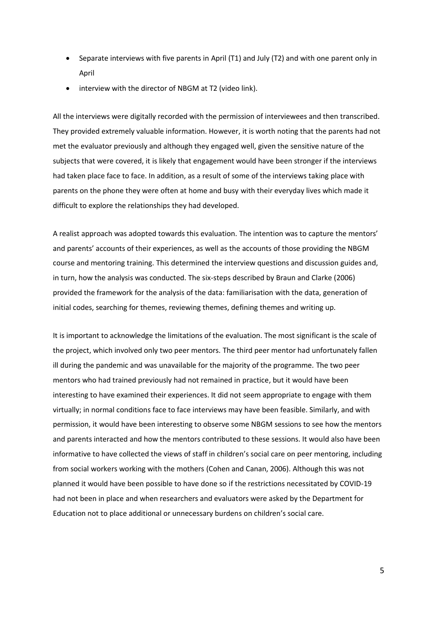- Separate interviews with five parents in April (T1) and July (T2) and with one parent only in April
- interview with the director of NBGM at T2 (video link).

All the interviews were digitally recorded with the permission of interviewees and then transcribed. They provided extremely valuable information. However, it is worth noting that the parents had not met the evaluator previously and although they engaged well, given the sensitive nature of the subjects that were covered, it is likely that engagement would have been stronger if the interviews had taken place face to face. In addition, as a result of some of the interviews taking place with parents on the phone they were often at home and busy with their everyday lives which made it difficult to explore the relationships they had developed.

A realist approach was adopted towards this evaluation. The intention was to capture the mentors' and parents' accounts of their experiences, as well as the accounts of those providing the NBGM course and mentoring training. This determined the interview questions and discussion guides and, in turn, how the analysis was conducted. The six-steps described by Braun and Clarke (2006) provided the framework for the analysis of the data: familiarisation with the data, generation of initial codes, searching for themes, reviewing themes, defining themes and writing up.

It is important to acknowledge the limitations of the evaluation. The most significant is the scale of the project, which involved only two peer mentors. The third peer mentor had unfortunately fallen ill during the pandemic and was unavailable for the majority of the programme. The two peer mentors who had trained previously had not remained in practice, but it would have been interesting to have examined their experiences. It did not seem appropriate to engage with them virtually; in normal conditions face to face interviews may have been feasible. Similarly, and with permission, it would have been interesting to observe some NBGM sessions to see how the mentors and parents interacted and how the mentors contributed to these sessions. It would also have been informative to have collected the views of staff in children's social care on peer mentoring, including from social workers working with the mothers (Cohen and Canan, 2006). Although this was not planned it would have been possible to have done so if the restrictions necessitated by COVID-19 had not been in place and when researchers and evaluators were asked by the Department for Education not to place additional or unnecessary burdens on children's social care.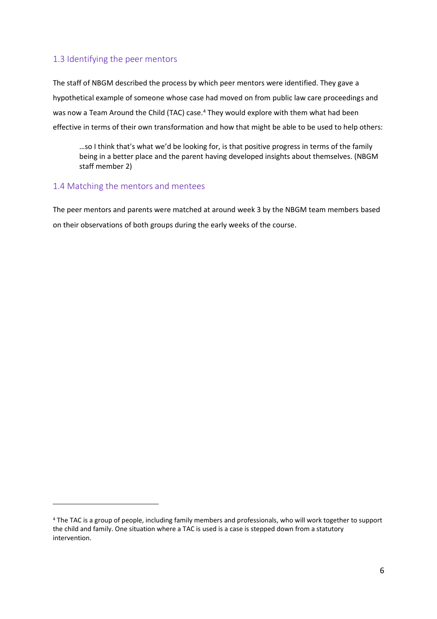### <span id="page-6-0"></span>1.3 Identifying the peer mentors

The staff of NBGM described the process by which peer mentors were identified. They gave a hypothetical example of someone whose case had moved on from public law care proceedings and was now a Team Around the Child (TAC) case.<sup>4</sup> They would explore with them what had been effective in terms of their own transformation and how that might be able to be used to help others:

…so I think that's what we'd be looking for, is that positive progress in terms of the family being in a better place and the parent having developed insights about themselves. (NBGM staff member 2)

#### <span id="page-6-1"></span>1.4 Matching the mentors and mentees

The peer mentors and parents were matched at around week 3 by the NBGM team members based on their observations of both groups during the early weeks of the course.

<sup>4</sup> The TAC is a group of people, including family members and professionals, who will work together to support the child and family. One situation where a TAC is used is a case is stepped down from a statutory intervention.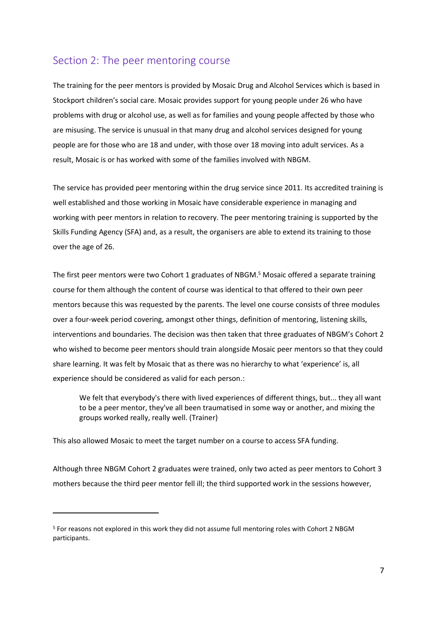## <span id="page-7-0"></span>Section 2: The peer mentoring course

The training for the peer mentors is provided by Mosaic Drug and Alcohol Services which is based in Stockport children's social care. Mosaic provides support for young people under 26 who have problems with drug or alcohol use, as well as for families and young people affected by those who are misusing. The service is unusual in that many drug and alcohol services designed for young people are for those who are 18 and under, with those over 18 moving into adult services. As a result, Mosaic is or has worked with some of the families involved with NBGM.

The service has provided peer mentoring within the drug service since 2011. Its accredited training is well established and those working in Mosaic have considerable experience in managing and working with peer mentors in relation to recovery. The peer mentoring training is supported by the Skills Funding Agency (SFA) and, as a result, the organisers are able to extend its training to those over the age of 26.

The first peer mentors were two Cohort 1 graduates of NBGM.<sup>5</sup> Mosaic offered a separate training course for them although the content of course was identical to that offered to their own peer mentors because this was requested by the parents. The level one course consists of three modules over a four-week period covering, amongst other things, definition of mentoring, listening skills, interventions and boundaries. The decision was then taken that three graduates of NBGM's Cohort 2 who wished to become peer mentors should train alongside Mosaic peer mentors so that they could share learning. It was felt by Mosaic that as there was no hierarchy to what 'experience' is, all experience should be considered as valid for each person.:

We felt that everybody's there with lived experiences of different things, but... they all want to be a peer mentor, they've all been traumatised in some way or another, and mixing the groups worked really, really well. (Trainer)

This also allowed Mosaic to meet the target number on a course to access SFA funding.

Although three NBGM Cohort 2 graduates were trained, only two acted as peer mentors to Cohort 3 mothers because the third peer mentor fell ill; the third supported work in the sessions however,

<sup>5</sup> For reasons not explored in this work they did not assume full mentoring roles with Cohort 2 NBGM participants.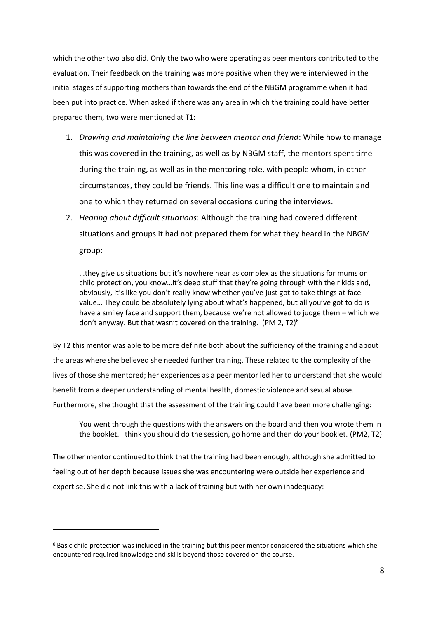which the other two also did. Only the two who were operating as peer mentors contributed to the evaluation. Their feedback on the training was more positive when they were interviewed in the initial stages of supporting mothers than towards the end of the NBGM programme when it had been put into practice. When asked if there was any area in which the training could have better prepared them, two were mentioned at T1:

- 1. *Drawing and maintaining the line between mentor and friend*: While how to manage this was covered in the training, as well as by NBGM staff, the mentors spent time during the training, as well as in the mentoring role, with people whom, in other circumstances, they could be friends. This line was a difficult one to maintain and one to which they returned on several occasions during the interviews.
- 2. *Hearing about difficult situations*: Although the training had covered different situations and groups it had not prepared them for what they heard in the NBGM group:

…they give us situations but it's nowhere near as complex as the situations for mums on child protection, you know…it's deep stuff that they're going through with their kids and, obviously, it's like you don't really know whether you've just got to take things at face value… They could be absolutely lying about what's happened, but all you've got to do is have a smiley face and support them, because we're not allowed to judge them – which we don't anyway. But that wasn't covered on the training. (PM 2, T2)<sup>6</sup>

By T2 this mentor was able to be more definite both about the sufficiency of the training and about the areas where she believed she needed further training. These related to the complexity of the lives of those she mentored; her experiences as a peer mentor led her to understand that she would benefit from a deeper understanding of mental health, domestic violence and sexual abuse. Furthermore, she thought that the assessment of the training could have been more challenging:

You went through the questions with the answers on the board and then you wrote them in the booklet. I think you should do the session, go home and then do your booklet. (PM2, T2)

The other mentor continued to think that the training had been enough, although she admitted to feeling out of her depth because issues she was encountering were outside her experience and expertise. She did not link this with a lack of training but with her own inadequacy:

<sup>6</sup> Basic child protection was included in the training but this peer mentor considered the situations which she encountered required knowledge and skills beyond those covered on the course.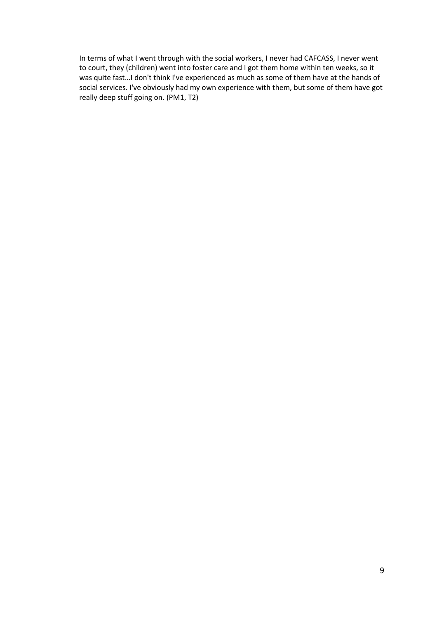In terms of what I went through with the social workers, I never had CAFCASS, I never went to court, they (children) went into foster care and I got them home within ten weeks, so it was quite fast…I don't think I've experienced as much as some of them have at the hands of social services. I've obviously had my own experience with them, but some of them have got really deep stuff going on. (PM1, T2)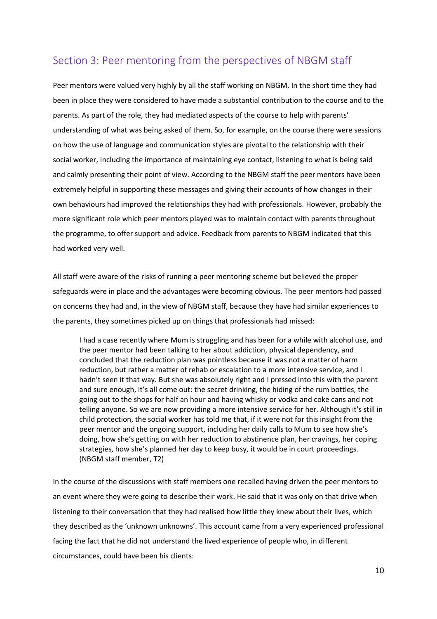# <span id="page-10-0"></span>Section 3: Peer mentoring from the perspectives of NBGM staff

Peer mentors were valued very highly by all the staff working on NBGM. In the short time they had been in place they were considered to have made a substantial contribution to the course and to the parents. As part of the role, they had mediated aspects of the course to help with parents' understanding of what was being asked of them. So, for example, on the course there were sessions on how the use of language and communication styles are pivotal to the relationship with their social worker, including the importance of maintaining eye contact, listening to what is being said and calmly presenting their point of view. According to the NBGM staff the peer mentors have been extremely helpful in supporting these messages and giving their accounts of how changes in their own behaviours had improved the relationships they had with professionals. However, probably the more significant role which peer mentors played was to maintain contact with parents throughout the programme, to offer support and advice. Feedback from parents to NBGM indicated that this had worked very well.

All staff were aware of the risks of running a peer mentoring scheme but believed the proper safeguards were in place and the advantages were becoming obvious. The peer mentors had passed on concerns they had and, in the view of NBGM staff, because they have had similar experiences to the parents, they sometimes picked up on things that professionals had missed:

I had a case recently where Mum is struggling and has been for a while with alcohol use, and the peer mentor had been talking to her about addiction, physical dependency, and concluded that the reduction plan was pointless because it was not a matter of harm reduction, but rather a matter of rehab or escalation to a more intensive service, and I hadn't seen it that way. But she was absolutely right and I pressed into this with the parent and sure enough, it's all come out: the secret drinking, the hiding of the rum bottles, the going out to the shops for half an hour and having whisky or vodka and coke cans and not telling anyone. So we are now providing a more intensive service for her. Although it's still in child protection, the social worker has told me that, if it were not for this insight from the peer mentor and the ongoing support, including her daily calls to Mum to see how she's doing, how she's getting on with her reduction to abstinence plan, her cravings, her coping strategies, how she's planned her day to keep busy, it would be in court proceedings. (NBGM staff member, T2)

In the course of the discussions with staff members one recalled having driven the peer mentors to an event where they were going to describe their work. He said that it was only on that drive when listening to their conversation that they had realised how little they knew about their lives, which they described as the 'unknown unknowns'. This account came from a very experienced professional facing the fact that he did not understand the lived experience of people who, in different circumstances, could have been his clients: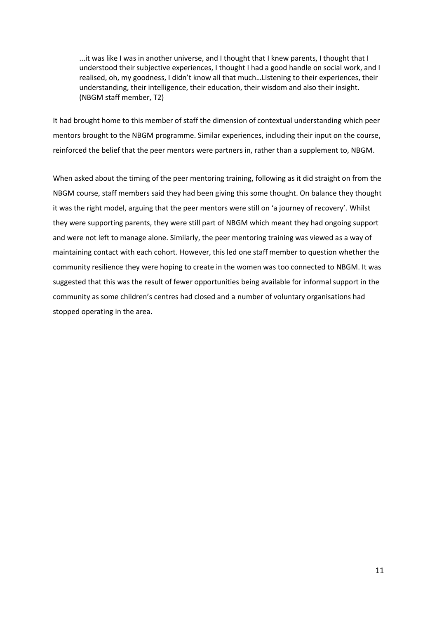...it was like I was in another universe, and I thought that I knew parents, I thought that I understood their subjective experiences, I thought I had a good handle on social work, and I realised, oh, my goodness, I didn't know all that much…Listening to their experiences, their understanding, their intelligence, their education, their wisdom and also their insight. (NBGM staff member, T2)

It had brought home to this member of staff the dimension of contextual understanding which peer mentors brought to the NBGM programme. Similar experiences, including their input on the course, reinforced the belief that the peer mentors were partners in, rather than a supplement to, NBGM.

When asked about the timing of the peer mentoring training, following as it did straight on from the NBGM course, staff members said they had been giving this some thought. On balance they thought it was the right model, arguing that the peer mentors were still on 'a journey of recovery'. Whilst they were supporting parents, they were still part of NBGM which meant they had ongoing support and were not left to manage alone. Similarly, the peer mentoring training was viewed as a way of maintaining contact with each cohort. However, this led one staff member to question whether the community resilience they were hoping to create in the women was too connected to NBGM. It was suggested that this was the result of fewer opportunities being available for informal support in the community as some children's centres had closed and a number of voluntary organisations had stopped operating in the area.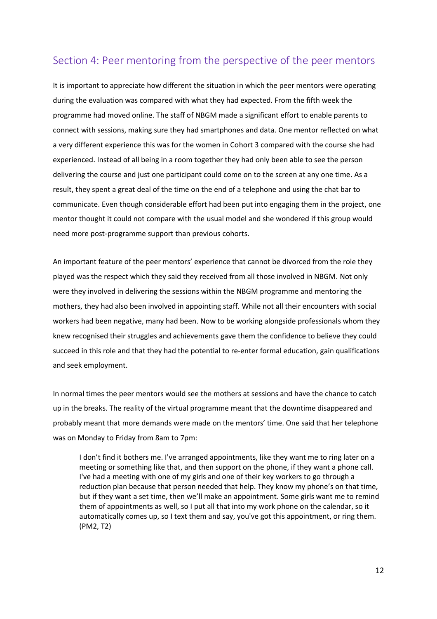## <span id="page-12-0"></span>Section 4: Peer mentoring from the perspective of the peer mentors

It is important to appreciate how different the situation in which the peer mentors were operating during the evaluation was compared with what they had expected. From the fifth week the programme had moved online. The staff of NBGM made a significant effort to enable parents to connect with sessions, making sure they had smartphones and data. One mentor reflected on what a very different experience this was for the women in Cohort 3 compared with the course she had experienced. Instead of all being in a room together they had only been able to see the person delivering the course and just one participant could come on to the screen at any one time. As a result, they spent a great deal of the time on the end of a telephone and using the chat bar to communicate. Even though considerable effort had been put into engaging them in the project, one mentor thought it could not compare with the usual model and she wondered if this group would need more post-programme support than previous cohorts.

An important feature of the peer mentors' experience that cannot be divorced from the role they played was the respect which they said they received from all those involved in NBGM. Not only were they involved in delivering the sessions within the NBGM programme and mentoring the mothers, they had also been involved in appointing staff. While not all their encounters with social workers had been negative, many had been. Now to be working alongside professionals whom they knew recognised their struggles and achievements gave them the confidence to believe they could succeed in this role and that they had the potential to re-enter formal education, gain qualifications and seek employment.

In normal times the peer mentors would see the mothers at sessions and have the chance to catch up in the breaks. The reality of the virtual programme meant that the downtime disappeared and probably meant that more demands were made on the mentors' time. One said that her telephone was on Monday to Friday from 8am to 7pm:

I don't find it bothers me. I've arranged appointments, like they want me to ring later on a meeting or something like that, and then support on the phone, if they want a phone call. I've had a meeting with one of my girls and one of their key workers to go through a reduction plan because that person needed that help. They know my phone's on that time, but if they want a set time, then we'll make an appointment. Some girls want me to remind them of appointments as well, so I put all that into my work phone on the calendar, so it automatically comes up, so I text them and say, you've got this appointment, or ring them. (PM2, T2)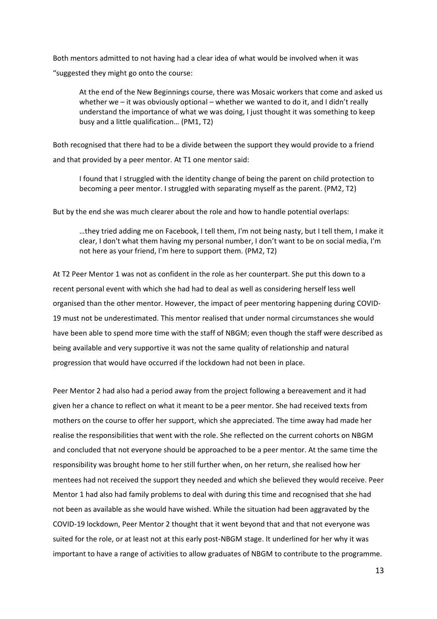Both mentors admitted to not having had a clear idea of what would be involved when it was "suggested they might go onto the course:

At the end of the New Beginnings course, there was Mosaic workers that come and asked us whether we – it was obviously optional – whether we wanted to do it, and I didn't really understand the importance of what we was doing, I just thought it was something to keep busy and a little qualification… (PM1, T2)

Both recognised that there had to be a divide between the support they would provide to a friend and that provided by a peer mentor. At T1 one mentor said:

I found that I struggled with the identity change of being the parent on child protection to becoming a peer mentor. I struggled with separating myself as the parent. (PM2, T2)

But by the end she was much clearer about the role and how to handle potential overlaps:

…they tried adding me on Facebook, I tell them, I'm not being nasty, but I tell them, I make it clear, I don't what them having my personal number, I don't want to be on social media, I'm not here as your friend, I'm here to support them. (PM2, T2)

At T2 Peer Mentor 1 was not as confident in the role as her counterpart. She put this down to a recent personal event with which she had had to deal as well as considering herself less well organised than the other mentor. However, the impact of peer mentoring happening during COVID-19 must not be underestimated. This mentor realised that under normal circumstances she would have been able to spend more time with the staff of NBGM; even though the staff were described as being available and very supportive it was not the same quality of relationship and natural progression that would have occurred if the lockdown had not been in place.

Peer Mentor 2 had also had a period away from the project following a bereavement and it had given her a chance to reflect on what it meant to be a peer mentor. She had received texts from mothers on the course to offer her support, which she appreciated. The time away had made her realise the responsibilities that went with the role. She reflected on the current cohorts on NBGM and concluded that not everyone should be approached to be a peer mentor. At the same time the responsibility was brought home to her still further when, on her return, she realised how her mentees had not received the support they needed and which she believed they would receive. Peer Mentor 1 had also had family problems to deal with during this time and recognised that she had not been as available as she would have wished. While the situation had been aggravated by the COVID-19 lockdown, Peer Mentor 2 thought that it went beyond that and that not everyone was suited for the role, or at least not at this early post-NBGM stage. It underlined for her why it was important to have a range of activities to allow graduates of NBGM to contribute to the programme.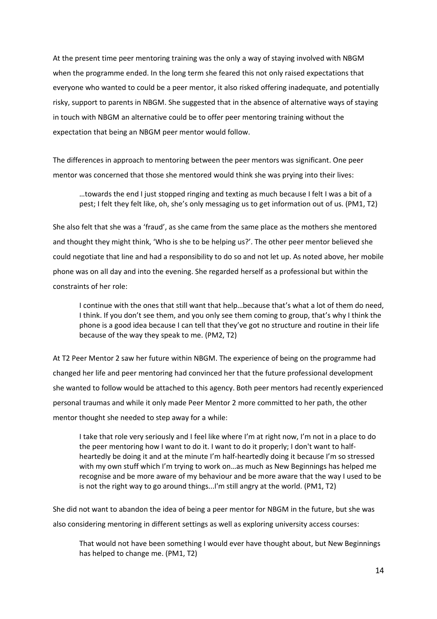At the present time peer mentoring training was the only a way of staying involved with NBGM when the programme ended. In the long term she feared this not only raised expectations that everyone who wanted to could be a peer mentor, it also risked offering inadequate, and potentially risky, support to parents in NBGM. She suggested that in the absence of alternative ways of staying in touch with NBGM an alternative could be to offer peer mentoring training without the expectation that being an NBGM peer mentor would follow.

The differences in approach to mentoring between the peer mentors was significant. One peer mentor was concerned that those she mentored would think she was prying into their lives:

…towards the end I just stopped ringing and texting as much because I felt I was a bit of a pest; I felt they felt like, oh, she's only messaging us to get information out of us. (PM1, T2)

She also felt that she was a 'fraud', as she came from the same place as the mothers she mentored and thought they might think, 'Who is she to be helping us?'. The other peer mentor believed she could negotiate that line and had a responsibility to do so and not let up. As noted above, her mobile phone was on all day and into the evening. She regarded herself as a professional but within the constraints of her role:

I continue with the ones that still want that help…because that's what a lot of them do need, I think. If you don't see them, and you only see them coming to group, that's why I think the phone is a good idea because I can tell that they've got no structure and routine in their life because of the way they speak to me. (PM2, T2)

At T2 Peer Mentor 2 saw her future within NBGM. The experience of being on the programme had changed her life and peer mentoring had convinced her that the future professional development she wanted to follow would be attached to this agency. Both peer mentors had recently experienced personal traumas and while it only made Peer Mentor 2 more committed to her path, the other mentor thought she needed to step away for a while:

I take that role very seriously and I feel like where I'm at right now, I'm not in a place to do the peer mentoring how I want to do it. I want to do it properly; I don't want to halfheartedly be doing it and at the minute I'm half-heartedly doing it because I'm so stressed with my own stuff which I'm trying to work on…as much as New Beginnings has helped me recognise and be more aware of my behaviour and be more aware that the way I used to be is not the right way to go around things...I'm still angry at the world. (PM1, T2)

She did not want to abandon the idea of being a peer mentor for NBGM in the future, but she was also considering mentoring in different settings as well as exploring university access courses:

That would not have been something I would ever have thought about, but New Beginnings has helped to change me. (PM1, T2)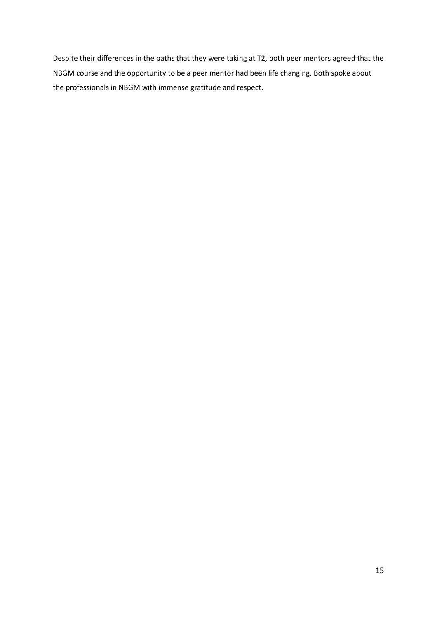Despite their differences in the paths that they were taking at T2, both peer mentors agreed that the NBGM course and the opportunity to be a peer mentor had been life changing. Both spoke about the professionals in NBGM with immense gratitude and respect.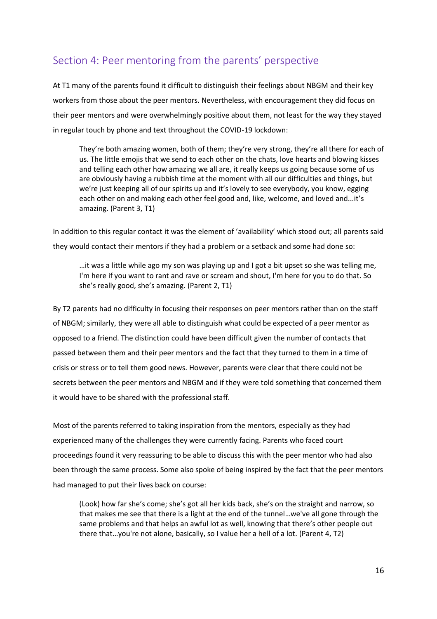# <span id="page-16-0"></span>Section 4: Peer mentoring from the parents' perspective

At T1 many of the parents found it difficult to distinguish their feelings about NBGM and their key workers from those about the peer mentors. Nevertheless, with encouragement they did focus on their peer mentors and were overwhelmingly positive about them, not least for the way they stayed in regular touch by phone and text throughout the COVID-19 lockdown:

They're both amazing women, both of them; they're very strong, they're all there for each of us. The little emojis that we send to each other on the chats, love hearts and blowing kisses and telling each other how amazing we all are, it really keeps us going because some of us are obviously having a rubbish time at the moment with all our difficulties and things, but we're just keeping all of our spirits up and it's lovely to see everybody, you know, egging each other on and making each other feel good and, like, welcome, and loved and...it's amazing. (Parent 3, T1)

In addition to this regular contact it was the element of 'availability' which stood out; all parents said they would contact their mentors if they had a problem or a setback and some had done so:

…it was a little while ago my son was playing up and I got a bit upset so she was telling me, I'm here if you want to rant and rave or scream and shout, I'm here for you to do that. So she's really good, she's amazing. (Parent 2, T1)

By T2 parents had no difficulty in focusing their responses on peer mentors rather than on the staff of NBGM; similarly, they were all able to distinguish what could be expected of a peer mentor as opposed to a friend. The distinction could have been difficult given the number of contacts that passed between them and their peer mentors and the fact that they turned to them in a time of crisis or stress or to tell them good news. However, parents were clear that there could not be secrets between the peer mentors and NBGM and if they were told something that concerned them it would have to be shared with the professional staff.

Most of the parents referred to taking inspiration from the mentors, especially as they had experienced many of the challenges they were currently facing. Parents who faced court proceedings found it very reassuring to be able to discuss this with the peer mentor who had also been through the same process. Some also spoke of being inspired by the fact that the peer mentors had managed to put their lives back on course:

(Look) how far she's come; she's got all her kids back, she's on the straight and narrow, so that makes me see that there is a light at the end of the tunnel…we've all gone through the same problems and that helps an awful lot as well, knowing that there's other people out there that…you're not alone, basically, so I value her a hell of a lot. (Parent 4, T2)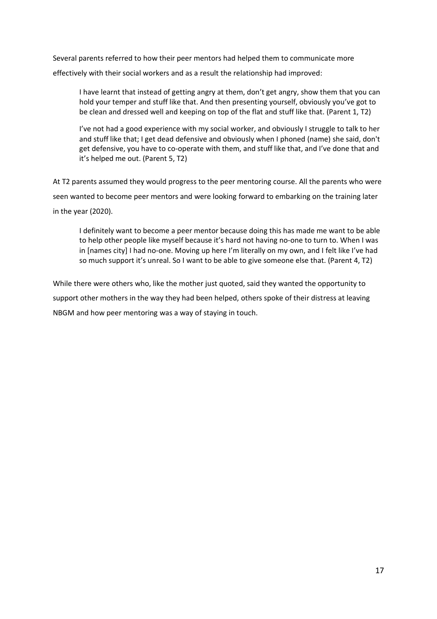Several parents referred to how their peer mentors had helped them to communicate more effectively with their social workers and as a result the relationship had improved:

I have learnt that instead of getting angry at them, don't get angry, show them that you can hold your temper and stuff like that. And then presenting yourself, obviously you've got to be clean and dressed well and keeping on top of the flat and stuff like that. (Parent 1, T2)

I've not had a good experience with my social worker, and obviously I struggle to talk to her and stuff like that; I get dead defensive and obviously when I phoned (name) she said, don't get defensive, you have to co-operate with them, and stuff like that, and I've done that and it's helped me out. (Parent 5, T2)

At T2 parents assumed they would progress to the peer mentoring course. All the parents who were seen wanted to become peer mentors and were looking forward to embarking on the training later in the year (2020).

I definitely want to become a peer mentor because doing this has made me want to be able to help other people like myself because it's hard not having no-one to turn to. When I was in [names city] I had no-one. Moving up here I'm literally on my own, and I felt like I've had so much support it's unreal. So I want to be able to give someone else that. (Parent 4, T2)

While there were others who, like the mother just quoted, said they wanted the opportunity to support other mothers in the way they had been helped, others spoke of their distress at leaving NBGM and how peer mentoring was a way of staying in touch.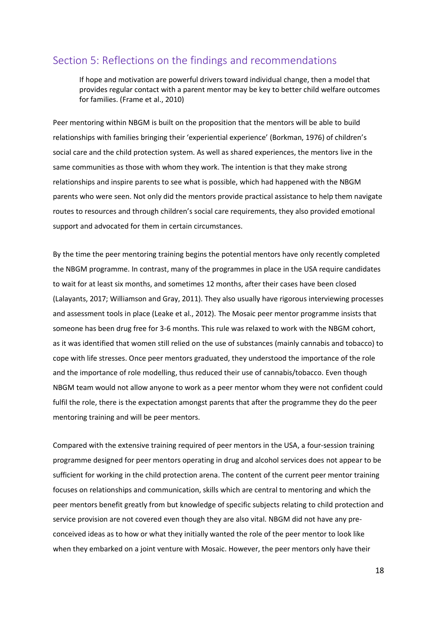## <span id="page-18-0"></span>Section 5: Reflections on the findings and recommendations

If hope and motivation are powerful drivers toward individual change, then a model that provides regular contact with a parent mentor may be key to better child welfare outcomes for families. (Frame et al., 2010)

Peer mentoring within NBGM is built on the proposition that the mentors will be able to build relationships with families bringing their 'experiential experience' (Borkman, 1976) of children's social care and the child protection system. As well as shared experiences, the mentors live in the same communities as those with whom they work. The intention is that they make strong relationships and inspire parents to see what is possible, which had happened with the NBGM parents who were seen. Not only did the mentors provide practical assistance to help them navigate routes to resources and through children's social care requirements, they also provided emotional support and advocated for them in certain circumstances.

By the time the peer mentoring training begins the potential mentors have only recently completed the NBGM programme. In contrast, many of the programmes in place in the USA require candidates to wait for at least six months, and sometimes 12 months, after their cases have been closed (Lalayants, 2017; Williamson and Gray, 2011). They also usually have rigorous interviewing processes and assessment tools in place (Leake et al., 2012). The Mosaic peer mentor programme insists that someone has been drug free for 3-6 months. This rule was relaxed to work with the NBGM cohort, as it was identified that women still relied on the use of substances (mainly cannabis and tobacco) to cope with life stresses. Once peer mentors graduated, they understood the importance of the role and the importance of role modelling, thus reduced their use of cannabis/tobacco. Even though NBGM team would not allow anyone to work as a peer mentor whom they were not confident could fulfil the role, there is the expectation amongst parents that after the programme they do the peer mentoring training and will be peer mentors.

Compared with the extensive training required of peer mentors in the USA, a four-session training programme designed for peer mentors operating in drug and alcohol services does not appear to be sufficient for working in the child protection arena. The content of the current peer mentor training focuses on relationships and communication, skills which are central to mentoring and which the peer mentors benefit greatly from but knowledge of specific subjects relating to child protection and service provision are not covered even though they are also vital. NBGM did not have any preconceived ideas as to how or what they initially wanted the role of the peer mentor to look like when they embarked on a joint venture with Mosaic. However, the peer mentors only have their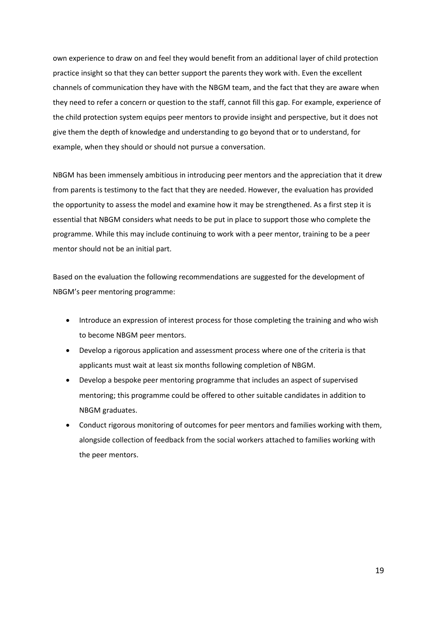own experience to draw on and feel they would benefit from an additional layer of child protection practice insight so that they can better support the parents they work with. Even the excellent channels of communication they have with the NBGM team, and the fact that they are aware when they need to refer a concern or question to the staff, cannot fill this gap. For example, experience of the child protection system equips peer mentors to provide insight and perspective, but it does not give them the depth of knowledge and understanding to go beyond that or to understand, for example, when they should or should not pursue a conversation.

NBGM has been immensely ambitious in introducing peer mentors and the appreciation that it drew from parents is testimony to the fact that they are needed. However, the evaluation has provided the opportunity to assess the model and examine how it may be strengthened. As a first step it is essential that NBGM considers what needs to be put in place to support those who complete the programme. While this may include continuing to work with a peer mentor, training to be a peer mentor should not be an initial part.

Based on the evaluation the following recommendations are suggested for the development of NBGM's peer mentoring programme:

- Introduce an expression of interest process for those completing the training and who wish to become NBGM peer mentors.
- Develop a rigorous application and assessment process where one of the criteria is that applicants must wait at least six months following completion of NBGM.
- Develop a bespoke peer mentoring programme that includes an aspect of supervised mentoring; this programme could be offered to other suitable candidates in addition to NBGM graduates.
- Conduct rigorous monitoring of outcomes for peer mentors and families working with them, alongside collection of feedback from the social workers attached to families working with the peer mentors.